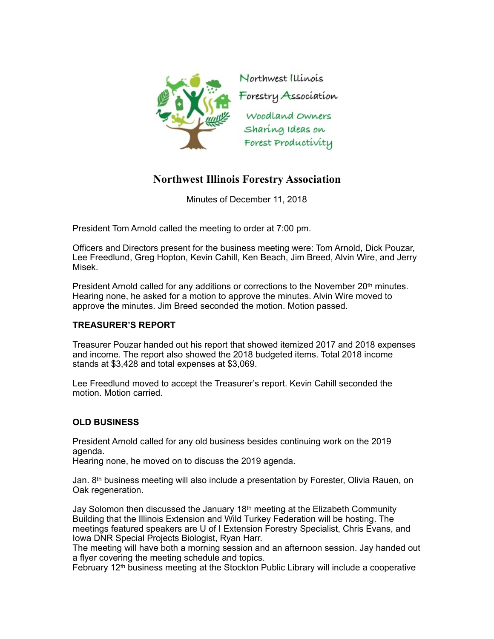

# **Northwest Illinois Forestry Association**

Minutes of December 11, 2018

President Tom Arnold called the meeting to order at 7:00 pm.

Officers and Directors present for the business meeting were: Tom Arnold, Dick Pouzar, Lee Freedlund, Greg Hopton, Kevin Cahill, Ken Beach, Jim Breed, Alvin Wire, and Jerry Misek.

President Arnold called for any additions or corrections to the November  $20<sup>th</sup>$  minutes. Hearing none, he asked for a motion to approve the minutes. Alvin Wire moved to approve the minutes. Jim Breed seconded the motion. Motion passed.

## **TREASURER'S REPORT**

Treasurer Pouzar handed out his report that showed itemized 2017 and 2018 expenses and income. The report also showed the 2018 budgeted items. Total 2018 income stands at \$3,428 and total expenses at \$3,069.

Lee Freedlund moved to accept the Treasurer's report. Kevin Cahill seconded the motion. Motion carried.

## **OLD BUSINESS**

President Arnold called for any old business besides continuing work on the 2019 agenda.

Hearing none, he moved on to discuss the 2019 agenda.

Jan. 8th business meeting will also include a presentation by Forester, Olivia Rauen, on Oak regeneration.

Jay Solomon then discussed the January 18th meeting at the Elizabeth Community Building that the Illinois Extension and Wild Turkey Federation will be hosting. The meetings featured speakers are U of I Extension Forestry Specialist, Chris Evans, and Iowa DNR Special Projects Biologist, Ryan Harr.

The meeting will have both a morning session and an afternoon session. Jay handed out a flyer covering the meeting schedule and topics.

February 12<sup>th</sup> business meeting at the Stockton Public Library will include a cooperative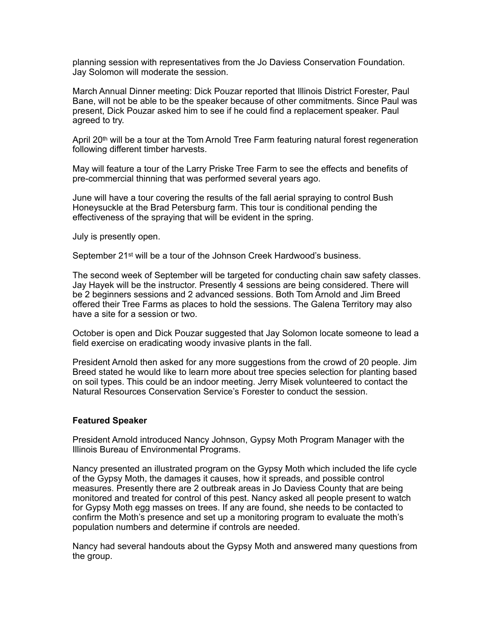planning session with representatives from the Jo Daviess Conservation Foundation. Jay Solomon will moderate the session.

March Annual Dinner meeting: Dick Pouzar reported that Illinois District Forester, Paul Bane, will not be able to be the speaker because of other commitments. Since Paul was present, Dick Pouzar asked him to see if he could find a replacement speaker. Paul agreed to try.

April 20<sup>th</sup> will be a tour at the Tom Arnold Tree Farm featuring natural forest regeneration following different timber harvests.

May will feature a tour of the Larry Priske Tree Farm to see the effects and benefits of pre-commercial thinning that was performed several years ago.

June will have a tour covering the results of the fall aerial spraying to control Bush Honeysuckle at the Brad Petersburg farm. This tour is conditional pending the effectiveness of the spraying that will be evident in the spring.

July is presently open.

September 21st will be a tour of the Johnson Creek Hardwood's business.

The second week of September will be targeted for conducting chain saw safety classes. Jay Hayek will be the instructor. Presently 4 sessions are being considered. There will be 2 beginners sessions and 2 advanced sessions. Both Tom Arnold and Jim Breed offered their Tree Farms as places to hold the sessions. The Galena Territory may also have a site for a session or two.

October is open and Dick Pouzar suggested that Jay Solomon locate someone to lead a field exercise on eradicating woody invasive plants in the fall.

President Arnold then asked for any more suggestions from the crowd of 20 people. Jim Breed stated he would like to learn more about tree species selection for planting based on soil types. This could be an indoor meeting. Jerry Misek volunteered to contact the Natural Resources Conservation Service's Forester to conduct the session.

#### **Featured Speaker**

President Arnold introduced Nancy Johnson, Gypsy Moth Program Manager with the Illinois Bureau of Environmental Programs.

Nancy presented an illustrated program on the Gypsy Moth which included the life cycle of the Gypsy Moth, the damages it causes, how it spreads, and possible control measures. Presently there are 2 outbreak areas in Jo Daviess County that are being monitored and treated for control of this pest. Nancy asked all people present to watch for Gypsy Moth egg masses on trees. If any are found, she needs to be contacted to confirm the Moth's presence and set up a monitoring program to evaluate the moth's population numbers and determine if controls are needed.

Nancy had several handouts about the Gypsy Moth and answered many questions from the group.